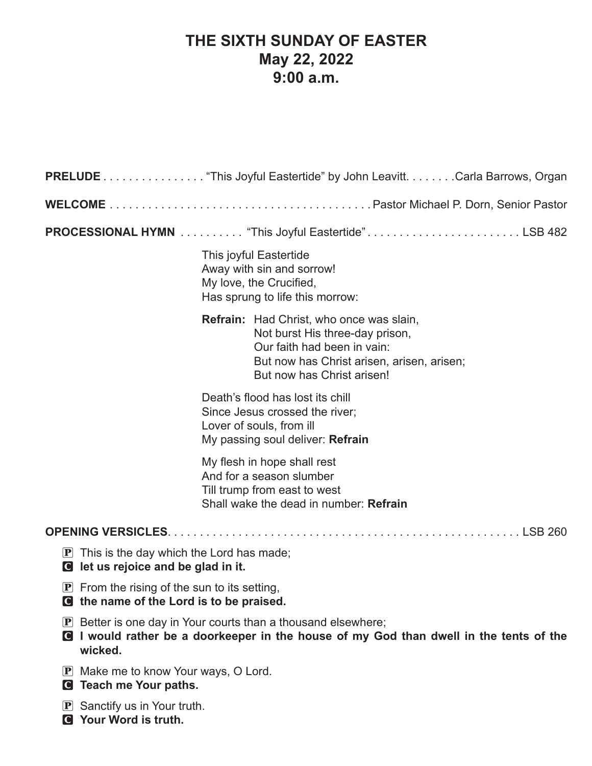# **THE SIXTH SUNDAY OF EASTER May 22, 2022 9:00 a.m.**

|                                                                                                     | PRELUDE "This Joyful Eastertide" by John Leavitt. Carla Barrows, Organ                                                                                                                        |
|-----------------------------------------------------------------------------------------------------|-----------------------------------------------------------------------------------------------------------------------------------------------------------------------------------------------|
|                                                                                                     |                                                                                                                                                                                               |
|                                                                                                     |                                                                                                                                                                                               |
|                                                                                                     | This joyful Eastertide<br>Away with sin and sorrow!<br>My love, the Crucified,<br>Has sprung to life this morrow:                                                                             |
|                                                                                                     | <b>Refrain:</b> Had Christ, who once was slain,<br>Not burst His three-day prison,<br>Our faith had been in vain:<br>But now has Christ arisen, arisen, arisen;<br>But now has Christ arisen! |
|                                                                                                     | Death's flood has lost its chill<br>Since Jesus crossed the river;<br>Lover of souls, from ill<br>My passing soul deliver: Refrain                                                            |
|                                                                                                     | My flesh in hope shall rest<br>And for a season slumber<br>Till trump from east to west<br>Shall wake the dead in number: Refrain                                                             |
|                                                                                                     |                                                                                                                                                                                               |
| $\mathbf{P}$ This is the day which the Lord has made;<br><b>G</b> let us rejoice and be glad in it. |                                                                                                                                                                                               |
| $\mathbf{P}$ From the rising of the sun to its setting,<br>the name of the Lord is to be praised.   |                                                                                                                                                                                               |
| wicked.                                                                                             | $\mathbf{P}$ Better is one day in Your courts than a thousand elsewhere;<br>I would rather be a doorkeeper in the house of my God than dwell in the tents of the                              |
| $\mathbf{P}$ Make me to know Your ways, O Lord.<br><b>G</b> Teach me Your paths.                    |                                                                                                                                                                                               |
| $\mathbf{P}$ Sanctify us in Your truth.<br><b>Q</b> Your Word is truth.                             |                                                                                                                                                                                               |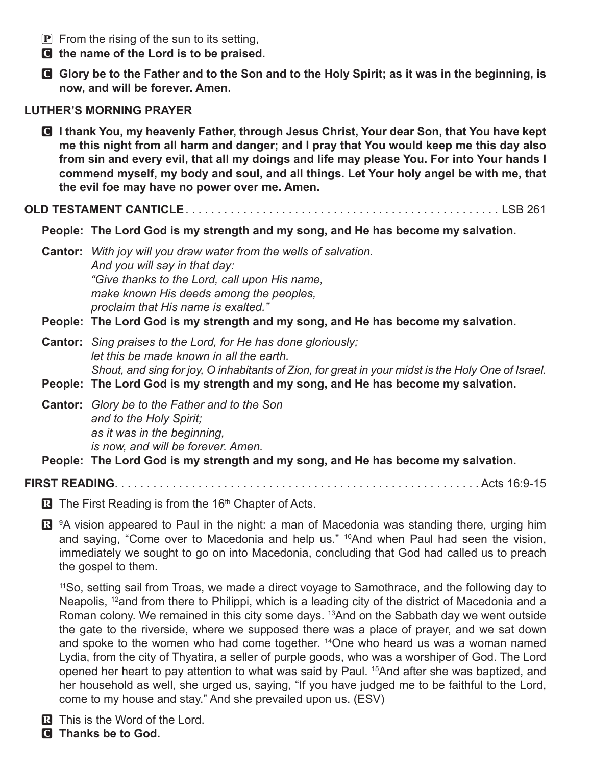- $\mathbf{P}$  From the rising of the sun to its setting,
- C **the name of the Lord is to be praised.**
- C **Glory be to the Father and to the Son and to the Holy Spirit; as it was in the beginning, is now, and will be forever. Amen.**

### **LUTHER'S MORNING PRAYER**

C **I thank You, my heavenly Father, through Jesus Christ, Your dear Son, that You have kept me this night from all harm and danger; and I pray that You would keep me this day also from sin and every evil, that all my doings and life may please You. For into Your hands I commend myself, my body and soul, and all things. Let Your holy angel be with me, that the evil foe may have no power over me. Amen.**

**OLD TESTAMENT CANTICLE** . . . . . . . . . . . . . . ................................... LSB 261

**People: The Lord God is my strength and my song, and He has become my salvation.**

**Cantor:** *With joy will you draw water from the wells of salvation. And you will say in that day: "Give thanks to the Lord, call upon His name, make known His deeds among the peoples, proclaim that His name is exalted."*

### **People: The Lord God is my strength and my song, and He has become my salvation.**

**Cantor:** *Sing praises to the Lord, for He has done gloriously; let this be made known in all the earth. Shout, and sing for joy, O inhabitants of Zion, for great in your midst is the Holy One of Israel.*

- **People: The Lord God is my strength and my song, and He has become my salvation.**
- **Cantor:** *Glory be to the Father and to the Son and to the Holy Spirit; as it was in the beginning, is now, and will be forever. Amen.*

**People: The Lord God is my strength and my song, and He has become my salvation.**

### **FIRST READING** . . . . . . . . . . . . . . . . . . . . . . . . . ................................ Acts 16:9-15

 $\mathbb R$  The First Reading is from the 16<sup>th</sup> Chapter of Acts.

**R** <sup>9</sup>A vision appeared to Paul in the night: a man of Macedonia was standing there, urging him and saying, "Come over to Macedonia and help us." <sup>10</sup>And when Paul had seen the vision, immediately we sought to go on into Macedonia, concluding that God had called us to preach the gospel to them.

11So, setting sail from Troas, we made a direct voyage to Samothrace, and the following day to Neapolis, <sup>12</sup>and from there to Philippi, which is a leading city of the district of Macedonia and a Roman colony. We remained in this city some days. <sup>13</sup>And on the Sabbath day we went outside the gate to the riverside, where we supposed there was a place of prayer, and we sat down and spoke to the women who had come together. <sup>14</sup>One who heard us was a woman named Lydia, from the city of Thyatira, a seller of purple goods, who was a worshiper of God. The Lord opened her heart to pay attention to what was said by Paul. 15And after she was baptized, and her household as well, she urged us, saying, "If you have judged me to be faithful to the Lord, come to my house and stay." And she prevailed upon us. (ESV)

- R This is the Word of the Lord.
- C **Thanks be to God.**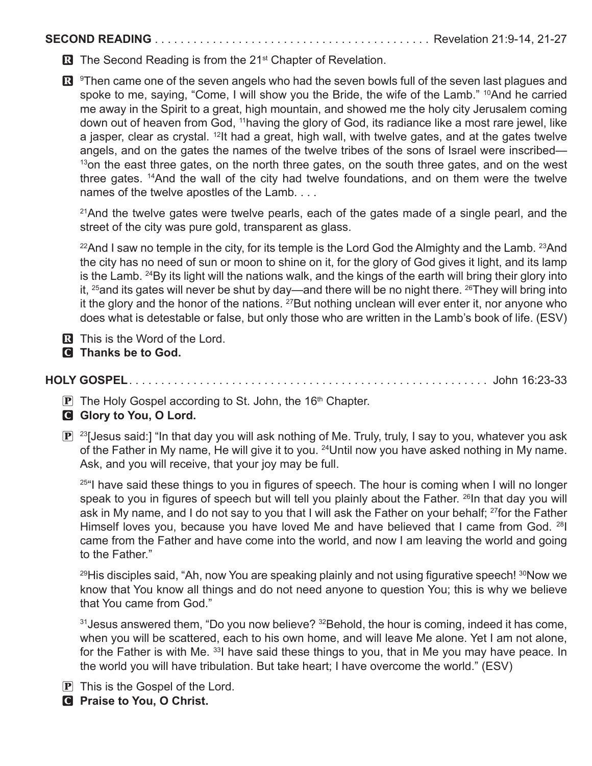## **SECOND READING** . . . . . . . . . . . . . . . . . . . . . . ..................... Revelation 21:9-14, 21-27

R The Second Reading is from the 21<sup>st</sup> Chapter of Revelation.

 $\mathbb{R}$  <sup>9</sup>Then came one of the seven angels who had the seven bowls full of the seven last plagues and spoke to me, saying, "Come, I will show you the Bride, the wife of the Lamb." <sup>10</sup>And he carried me away in the Spirit to a great, high mountain, and showed me the holy city Jerusalem coming down out of heaven from God, 11having the glory of God, its radiance like a most rare jewel, like a jasper, clear as crystal. <sup>12</sup>It had a great, high wall, with twelve gates, and at the gates twelve angels, and on the gates the names of the twelve tribes of the sons of Israel were inscribed—  $13$  on the east three gates, on the north three gates, on the south three gates, and on the west three gates. <sup>14</sup>And the wall of the city had twelve foundations, and on them were the twelve names of the twelve apostles of the Lamb....

<sup>21</sup>And the twelve gates were twelve pearls, each of the gates made of a single pearl, and the street of the city was pure gold, transparent as glass.

 $22$ And I saw no temple in the city, for its temple is the Lord God the Almighty and the Lamb.  $23$ And the city has no need of sun or moon to shine on it, for the glory of God gives it light, and its lamp is the Lamb. 24By its light will the nations walk, and the kings of the earth will bring their glory into it,  $25$  and its gates will never be shut by day—and there will be no night there.  $26$  They will bring into it the glory and the honor of the nations. <sup>27</sup>But nothing unclean will ever enter it, nor anyone who does what is detestable or false, but only those who are written in the Lamb's book of life. (ESV)

- R This is the Word of the Lord.
- C **Thanks be to God.**

### **HOLY GOSPEL** . . . . . . . . . . . . . . . . . . . . . . . . . . .............................. John 16:23-33

- **P** The Holy Gospel according to St. John, the 16<sup>th</sup> Chapter.
- **G** Glory to You, O Lord.
- $\mathbb{P}$  <sup>23</sup>[Jesus said:] "In that day you will ask nothing of Me. Truly, truly, I say to you, whatever you ask of the Father in My name, He will give it to you. <sup>24</sup>Until now you have asked nothing in My name. Ask, and you will receive, that your joy may be full.

<sup>25"</sup>I have said these things to you in figures of speech. The hour is coming when I will no longer speak to you in figures of speech but will tell you plainly about the Father. <sup>26</sup>In that day you will ask in My name, and I do not say to you that I will ask the Father on your behalf; <sup>27</sup> for the Father Himself loves you, because you have loved Me and have believed that I came from God. <sup>28</sup>I came from the Father and have come into the world, and now I am leaving the world and going to the Father."

<sup>29</sup>His disciples said, "Ah, now You are speaking plainly and not using figurative speech! <sup>30</sup>Now we know that You know all things and do not need anyone to question You; this is why we believe that You came from God."

 $31$  Jesus answered them, "Do you now believe?  $32$  Behold, the hour is coming, indeed it has come, when you will be scattered, each to his own home, and will leave Me alone. Yet I am not alone, for the Father is with Me. 33| have said these things to you, that in Me you may have peace. In the world you will have tribulation. But take heart; I have overcome the world." (ESV)

 $\overline{P}$  This is the Gospel of the Lord.

C **Praise to You, O Christ.**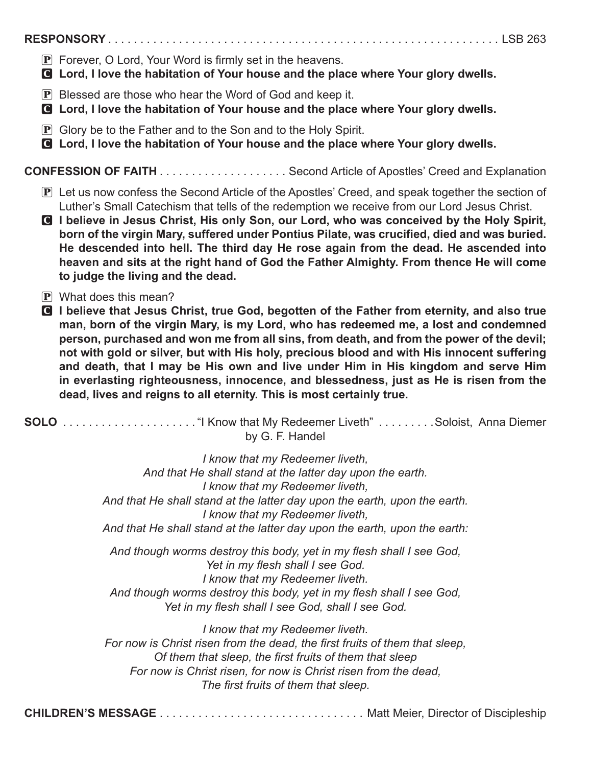## **RESPONSORY** . . . . . . . . . . . . . . . . . . . . . . . . . . ................................... LSB 263

- P Forever, O Lord, Your Word is firmly set in the heavens.
- C **Lord, I love the habitation of Your house and the place where Your glory dwells.**
- $\mathbf{P}$  Blessed are those who hear the Word of God and keep it.
- C **Lord, I love the habitation of Your house and the place where Your glory dwells.**
- P Glory be to the Father and to the Son and to the Holy Spirit.
- C **Lord, I love the habitation of Your house and the place where Your glory dwells.**

**CONFESSION OF FAITH** . . . . . . . . . . . . . . . . . . . . Second Article of Apostles' Creed and Explanation

- $\mathbf P$  Let us now confess the Second Article of the Apostles' Creed, and speak together the section of Luther's Small Catechism that tells of the redemption we receive from our Lord Jesus Christ.
- C **I believe in Jesus Christ, His only Son, our Lord, who was conceived by the Holy Spirit, born of the virgin Mary, suffered under Pontius Pilate, was crucified, died and was buried. He descended into hell. The third day He rose again from the dead. He ascended into heaven and sits at the right hand of God the Father Almighty. From thence He will come to judge the living and the dead.**
- $\overline{P}$  What does this mean?
- C **I believe that Jesus Christ, true God, begotten of the Father from eternity, and also true man, born of the virgin Mary, is my Lord, who has redeemed me, a lost and condemned person, purchased and won me from all sins, from death, and from the power of the devil; not with gold or silver, but with His holy, precious blood and with His innocent suffering and death, that I may be His own and live under Him in His kingdom and serve Him in everlasting righteousness, innocence, and blessedness, just as He is risen from the dead, lives and reigns to all eternity. This is most certainly true.**

**SOLO** . . . . . . . . . . . . . . . . . . . . "I Know that My Redeemer Liveth" . . . . . . . . Soloist, Anna Diemer by G. F. Handel

> *I know that my Redeemer liveth, And that He shall stand at the latter day upon the earth. I know that my Redeemer liveth, And that He shall stand at the latter day upon the earth, upon the earth. I know that my Redeemer liveth, And that He shall stand at the latter day upon the earth, upon the earth:*

*And though worms destroy this body, yet in my flesh shall I see God, Yet in my flesh shall I see God. I know that my Redeemer liveth. And though worms destroy this body, yet in my flesh shall I see God, Yet in my flesh shall I see God, shall I see God.*

*I know that my Redeemer liveth. For now is Christ risen from the dead, the first fruits of them that sleep, Of them that sleep, the first fruits of them that sleep For now is Christ risen, for now is Christ risen from the dead, The first fruits of them that sleep.*

**CHILDREN'S MESSAGE** . . . . . . . . . . . . . . . . . . .............. Matt Meier, Director of Discipleship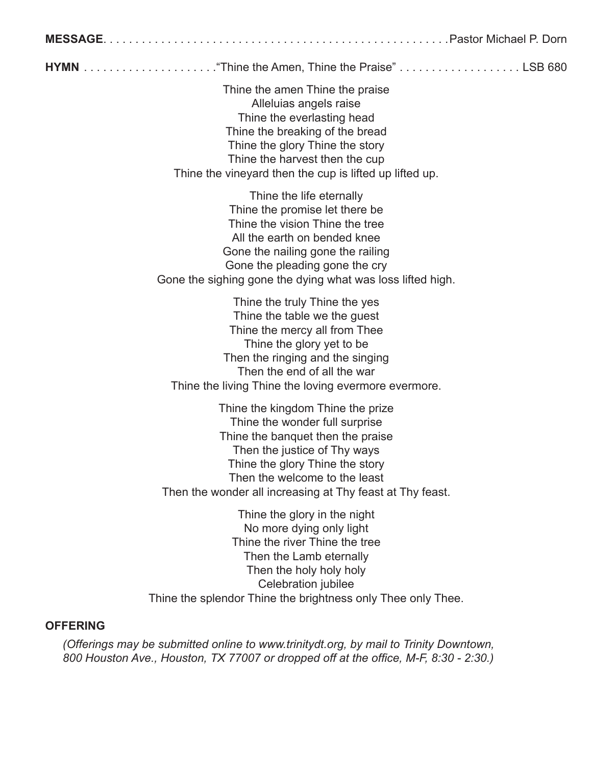| Thine the amen Thine the praise<br>Alleluias angels raise<br>Thine the everlasting head<br>Thine the breaking of the bread<br>Thine the glory Thine the story<br>Thine the harvest then the cup<br>Thine the vineyard then the cup is lifted up lifted up.                |
|---------------------------------------------------------------------------------------------------------------------------------------------------------------------------------------------------------------------------------------------------------------------------|
| Thine the life eternally<br>Thine the promise let there be<br>Thine the vision Thine the tree<br>All the earth on bended knee<br>Gone the nailing gone the railing<br>Gone the pleading gone the cry<br>Gone the sighing gone the dying what was loss lifted high.        |
| Thine the truly Thine the yes<br>Thine the table we the guest<br>Thine the mercy all from Thee<br>Thine the glory yet to be<br>Then the ringing and the singing<br>Then the end of all the war<br>Thine the living Thine the loving evermore evermore.                    |
| Thine the kingdom Thine the prize<br>Thine the wonder full surprise<br>Thine the banquet then the praise<br>Then the justice of Thy ways<br>Thine the glory Thine the story<br>Then the welcome to the least<br>Then the wonder all increasing at Thy feast at Thy feast. |
| Thine the glory in the night<br>No more dying only light<br>Thine the river Thine the tree<br>Then the Lamb eternally<br>Then the holy holy holy<br>Celebration jubilee<br>Thine the splendor Thine the brightness only Thee only Thee.                                   |
| <b>OFFERING</b>                                                                                                                                                                                                                                                           |
| (Offerings may be submitted online to www.trinitydt.org, by mail to Trinity Downtown                                                                                                                                                                                      |

*(Offerings may be submitted online to www.trinitydt.org, by mail to Trinity Downtown, 800 Houston Ave., Houston, TX 77007 or dropped off at the office, M-F, 8:30 - 2:30.)*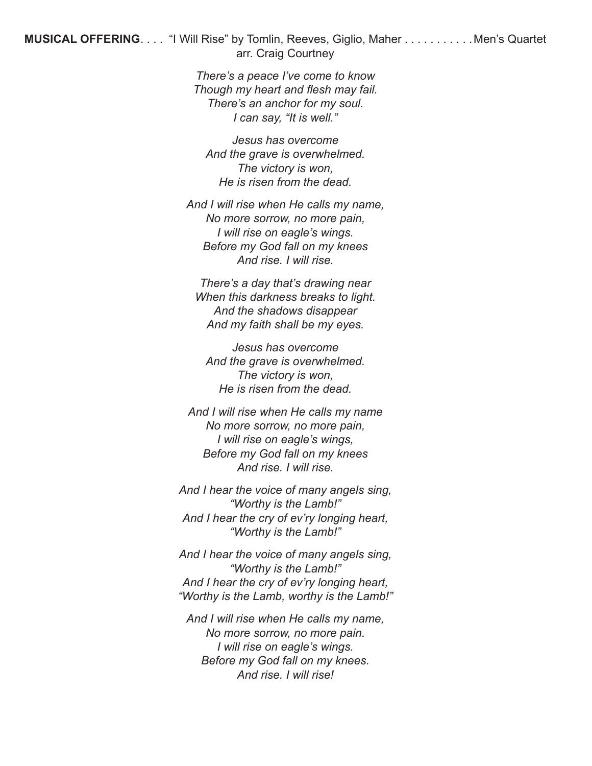**MUSICAL OFFERING** . . . . "I Will Rise" by Tomlin, Reeves, Giglio, Maher . . . . . . . . . . Men's Quartet arr. Craig Courtney

> *There's a peace I've come to know Though my heart and flesh may fail. There's an anchor for my soul. I can say, "It is well."*

*Jesus has overcome And the grave is overwhelmed. The victory is won, He is risen from the dead.*

*And I will rise when He calls my name, No more sorrow, no more pain, I will rise on eagle's wings. Before my God fall on my knees And rise. I will rise.* 

*There's a day that's drawing near When this darkness breaks to light. And the shadows disappear And my faith shall be my eyes.*

*Jesus has overcome And the grave is overwhelmed. The victory is won, He is risen from the dead.*

*And I will rise when He calls my name No more sorrow, no more pain, I will rise on eagle's wings, Before my God fall on my knees And rise. I will rise.*

*And I hear the voice of many angels sing, "Worthy is the Lamb!" And I hear the cry of ev'ry longing heart, "Worthy is the Lamb!"*

*And I hear the voice of many angels sing, "Worthy is the Lamb!" And I hear the cry of ev'ry longing heart, "Worthy is the Lamb, worthy is the Lamb!"*

*And I will rise when He calls my name, No more sorrow, no more pain. I will rise on eagle's wings. Before my God fall on my knees. And rise. I will rise!*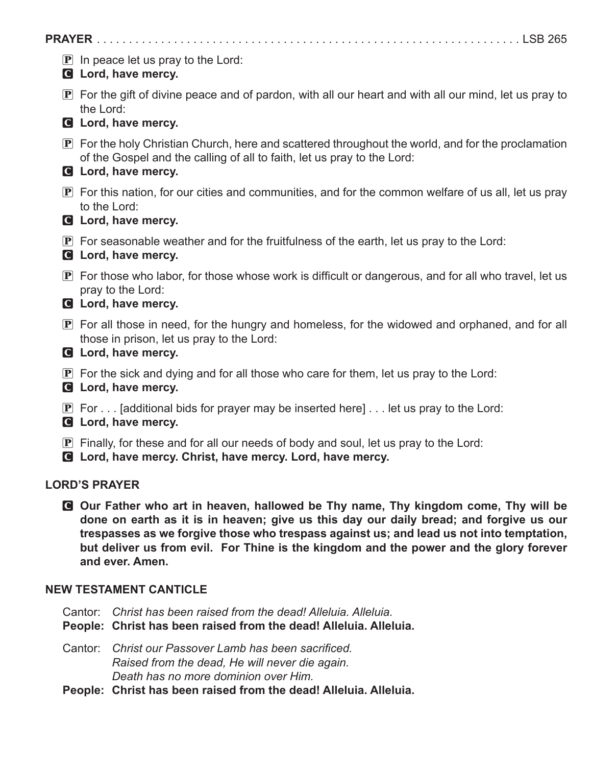| $\mathbf{P}$ In peace let us pray to the Lord:<br><b>Q</b> Lord, have mercy.                                                                                                                                           |
|------------------------------------------------------------------------------------------------------------------------------------------------------------------------------------------------------------------------|
| $\mathbf{P}$ For the gift of divine peace and of pardon, with all our heart and with all our mind, let us pray to<br>the Lord:<br><b>G</b> Lord, have mercy.                                                           |
| $\mathbf{P}$ For the holy Christian Church, here and scattered throughout the world, and for the proclamation<br>of the Gospel and the calling of all to faith, let us pray to the Lord:<br><b>G</b> Lord, have mercy. |
| $\mathbf P$ For this nation, for our cities and communities, and for the common welfare of us all, let us pray<br>to the Lord:<br><b>Q</b> Lord, have mercy.                                                           |
| $\mathbf P$ For seasonable weather and for the fruitfulness of the earth, let us pray to the Lord:<br><b>G</b> Lord, have mercy.                                                                                       |
| $\mathbf{P}$ For those who labor, for those whose work is difficult or dangerous, and for all who travel, let us<br>pray to the Lord:<br><b>G</b> Lord, have mercy.                                                    |
| $\mathbf P$ For all those in need, for the hungry and homeless, for the widowed and orphaned, and for all<br>those in prison, let us pray to the Lord:<br><b>G</b> Lord, have mercy.                                   |
| $\mathbf{P}$ For the sick and dying and for all those who care for them, let us pray to the Lord:<br><b>Q</b> Lord, have mercy.                                                                                        |
| <b>P</b> For $\ldots$ [additional bids for prayer may be inserted here] $\ldots$ let us pray to the Lord:<br><b>G</b> Lord, have mercy.                                                                                |
| $\mathbf{P}$ Finally, for these and for all our needs of body and soul, let us pray to the Lord:<br><b>G</b> Lord, have mercy. Christ, have mercy. Lord, have mercy.                                                   |
| <b>LORD'S PRAYER</b>                                                                                                                                                                                                   |

C **Our Father who art in heaven, hallowed be Thy name, Thy kingdom come, Thy will be done on earth as it is in heaven; give us this day our daily bread; and forgive us our trespasses as we forgive those who trespass against us; and lead us not into temptation, but deliver us from evil. For Thine is the kingdom and the power and the glory forever and ever. Amen.**

### **NEW TESTAMENT CANTICLE**

- Cantor: *Christ has been raised from the dead! Alleluia. Alleluia.*
- **People: Christ has been raised from the dead! Alleluia. Alleluia.**
- Cantor: *Christ our Passover Lamb has been sacrificed. Raised from the dead, He will never die again. Death has no more dominion over Him.*
- **People: Christ has been raised from the dead! Alleluia. Alleluia.**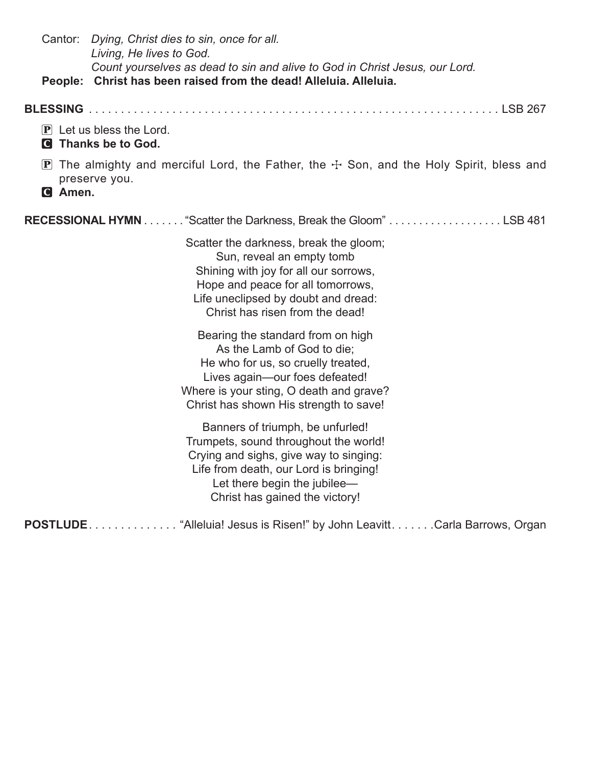|                 | Cantor: Dying, Christ dies to sin, once for all.<br>Living, He lives to God.                                                                                                                                                    |
|-----------------|---------------------------------------------------------------------------------------------------------------------------------------------------------------------------------------------------------------------------------|
|                 | Count yourselves as dead to sin and alive to God in Christ Jesus, our Lord.<br>People: Christ has been raised from the dead! Alleluia. Alleluia.                                                                                |
| <b>BLESSING</b> |                                                                                                                                                                                                                                 |
|                 | $\boxed{\mathbf{P}}$ Let us bless the Lord.<br><b>Q</b> Thanks be to God.                                                                                                                                                       |
| <b>G</b> Amen.  | <b>P</b> The almighty and merciful Lord, the Father, the $\pm$ Son, and the Holy Spirit, bless and<br>preserve you.                                                                                                             |
|                 | <b>RECESSIONAL HYMN</b> "Scatter the Darkness, Break the Gloom" LSB 481                                                                                                                                                         |
|                 | Scatter the darkness, break the gloom;<br>Sun, reveal an empty tomb<br>Shining with joy for all our sorrows,<br>Hope and peace for all tomorrows,<br>Life uneclipsed by doubt and dread:<br>Christ has risen from the dead!     |
|                 | Bearing the standard from on high<br>As the Lamb of God to die;<br>He who for us, so cruelly treated,<br>Lives again-our foes defeated!<br>Where is your sting, O death and grave?<br>Christ has shown His strength to save!    |
|                 | Banners of triumph, be unfurled!<br>Trumpets, sound throughout the world!<br>Crying and sighs, give way to singing:<br>Life from death, our Lord is bringing!<br>Let there begin the jubilee-<br>Christ has gained the victory! |

**POSTLUDE** . . . . . . . . . . . . . . "Alleluia! Jesus is Risen!" by John Leavitt . . . . . . Carla Barrows, Organ